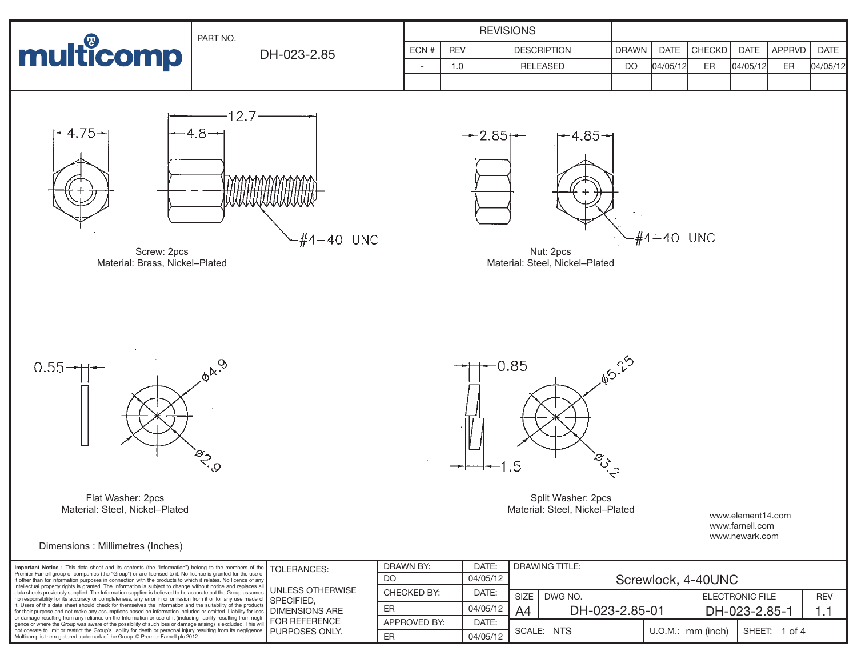|                                               | PART NO.                           |                          |            | <b>REVISIONS</b>                             |              |                |        |             |        |          |
|-----------------------------------------------|------------------------------------|--------------------------|------------|----------------------------------------------|--------------|----------------|--------|-------------|--------|----------|
| <b>multicomp</b>                              | DH-023-2.85                        | ECN#                     | <b>REV</b> | <b>DESCRIPTION</b>                           | <b>DRAWN</b> | DATE           | CHECKD | <b>DATE</b> | APPRVD | DATE     |
|                                               |                                    | $\overline{\phantom{a}}$ | 1.0        | RELEASED                                     | <b>DO</b>    | 04/05/12       | ER     | 04/05/12    | ER     | 04/05/12 |
| $+4.75+$                                      | 12.7<br>$-4.8 - n$                 |                          |            | $+4.85+$<br>$\rightarrow$ 2.85 $\rightarrow$ |              |                |        |             |        |          |
| Screw: 2pcs<br>Material: Brass, Nickel-Plated | MAAAAAAAAAAAAAAA<br>$-#4 - 40$ UNC |                          |            | Nut: 2pcs<br>Material: Steel, Nickel-Plated  |              | $-#4 - 40$ UNC |        |             |        |          |



Flat Washer: 2pcs Material: Steel, Nickel–Plated

Dimensions : Millimetres (Inches)

**PB** 25  $-0.85$ **POLICE**  $1.5$ 

> Split Washer: 2pcs Material: Steel, Nickel–Plated

www.element14.com www.farnell.com www.newark.com

| Important Notice : This data sheet and its contents (the "Information") belong to the members of the TOLERANCES.<br>Premier Farnell group of companies (the "Group") or are licensed to it. No licence is granted for the use of<br>it other than for information purposes in connection with the products to which it relates. No licence of any<br>intellectual property rights is granted. The Information is subject to change without notice and replaces all<br>data sheets previously supplied. The Information supplied is believed to be accurate but the Group assumes<br>no responsibility for its accuracy or completeness, any error in or omission from it or for any use made of SPECIFIED,<br>it. Users of this data sheet should check for themselves the Information and the suitability of the products<br>for their purpose and not make any assumptions based on information included or omitted. Liability for loss   DIMENSIONS ARE<br>or damage resulting from any reliance on the Information or use of it (including liability resulting from negli-<br>gence or where the Group was aware of the possibility of such loss or damage arising) is excluded. This will<br>not operate to limit or restrict the Group's liability for death or personal injury resulting from its negligence.<br>Multicomp is the registered trademark of the Group. © Premier Farnell plc 2012. | <b>JUNLESS OTHERWISE</b><br><b>I</b> FOR REFERENCE<br><b>I PURPOSES ONLY.</b> | DRAWN BY:    | DATE:    | <b>DRAWING TITLE:</b> |                    |                               |                        |          |            |  |
|---------------------------------------------------------------------------------------------------------------------------------------------------------------------------------------------------------------------------------------------------------------------------------------------------------------------------------------------------------------------------------------------------------------------------------------------------------------------------------------------------------------------------------------------------------------------------------------------------------------------------------------------------------------------------------------------------------------------------------------------------------------------------------------------------------------------------------------------------------------------------------------------------------------------------------------------------------------------------------------------------------------------------------------------------------------------------------------------------------------------------------------------------------------------------------------------------------------------------------------------------------------------------------------------------------------------------------------------------------------------------------------------------------|-------------------------------------------------------------------------------|--------------|----------|-----------------------|--------------------|-------------------------------|------------------------|----------|------------|--|
|                                                                                                                                                                                                                                                                                                                                                                                                                                                                                                                                                                                                                                                                                                                                                                                                                                                                                                                                                                                                                                                                                                                                                                                                                                                                                                                                                                                                         |                                                                               | DO           | 04/05/12 |                       | Screwlock, 4-40UNC |                               |                        |          |            |  |
|                                                                                                                                                                                                                                                                                                                                                                                                                                                                                                                                                                                                                                                                                                                                                                                                                                                                                                                                                                                                                                                                                                                                                                                                                                                                                                                                                                                                         |                                                                               | CHECKED BY:  | DATE:    | SIZE                  | DWG NO.            |                               | <b>ELECTRONIC FILE</b> |          | <b>REV</b> |  |
|                                                                                                                                                                                                                                                                                                                                                                                                                                                                                                                                                                                                                                                                                                                                                                                                                                                                                                                                                                                                                                                                                                                                                                                                                                                                                                                                                                                                         |                                                                               | ER           | 04/05/12 | A4                    | DH-023-2.85-01     |                               | DH-023-2.85-1          |          | . .        |  |
|                                                                                                                                                                                                                                                                                                                                                                                                                                                                                                                                                                                                                                                                                                                                                                                                                                                                                                                                                                                                                                                                                                                                                                                                                                                                                                                                                                                                         |                                                                               | APPROVED BY: | DATE:    |                       |                    | $U.O.M.:$ mm (inch)<br>SHEET: |                        |          |            |  |
|                                                                                                                                                                                                                                                                                                                                                                                                                                                                                                                                                                                                                                                                                                                                                                                                                                                                                                                                                                                                                                                                                                                                                                                                                                                                                                                                                                                                         |                                                                               | ER           | 04/05/12 | SCALE: NTS            |                    |                               |                        | 1 of $4$ |            |  |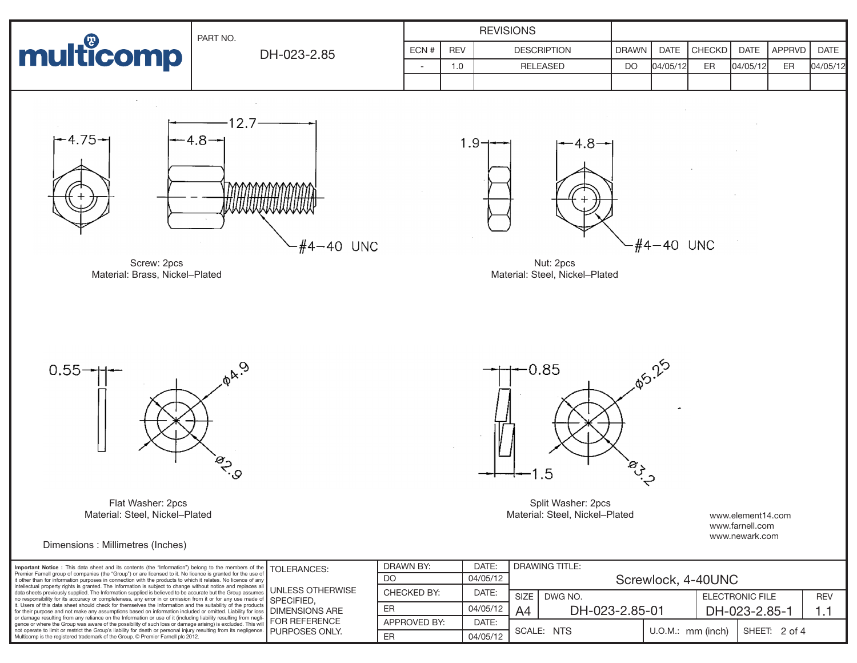



Flat Washer: 2pcs Material: Steel, Nickel–Plated

Dimensions : Millimetres (Inches)

**05.25**  $-0.85$ **POLICE**  $.5$ 

> Split Washer: 2pcs Material: Steel, Nickel–Plated

www.element14.com www.farnell.com www.newark.com

| Important Notice : This data sheet and its contents (the "Information") belong to the members of the TOLERANCES:<br>Premier Farnell group of companies (the "Group") or are licensed to it. No licence is granted for the use of<br>it other than for information purposes in connection with the products to which it relates. No licence of any<br>intellectual property rights is granted. The Information is subject to change without notice and replaces all<br>data sheets previously supplied. The Information supplied is believed to be accurate but the Group assumes<br>and cresponsibility for its accuracy or completeness, any error in or omission from it or for any use made of SPECIFIED,<br>it. Users of this data sheet should check for themselves the Information and the suitability of the products<br>for their purpose and not make any assumptions based on information included or omitted. Liability for loss   DIMENSIONS ARE<br>of their purpose and not make any assumption server and according liability resulting from negli-<br>The damage resulting from any reliance on the Information or use of it (including liability resulting from negli-   FOR REFE<br>gence or where the Group was aware of the possibility of such loss or damage arising) is excluded. This will<br>not operate to limit or restrict the Group's liability for death or personal injury resulting from its negligence.   PURPOSES ONLY.<br>Multicomp is the registered trademark of the Group. © Premier Farnell plc 2012. | <b>JUNLESS OTHERWISE</b> | DRAWN BY:    | DATE:    | <b>DRAWING TITLE:</b> |                |                     |                        |               |            |  |
|---------------------------------------------------------------------------------------------------------------------------------------------------------------------------------------------------------------------------------------------------------------------------------------------------------------------------------------------------------------------------------------------------------------------------------------------------------------------------------------------------------------------------------------------------------------------------------------------------------------------------------------------------------------------------------------------------------------------------------------------------------------------------------------------------------------------------------------------------------------------------------------------------------------------------------------------------------------------------------------------------------------------------------------------------------------------------------------------------------------------------------------------------------------------------------------------------------------------------------------------------------------------------------------------------------------------------------------------------------------------------------------------------------------------------------------------------------------------------------------------------------------------------------------------|--------------------------|--------------|----------|-----------------------|----------------|---------------------|------------------------|---------------|------------|--|
|                                                                                                                                                                                                                                                                                                                                                                                                                                                                                                                                                                                                                                                                                                                                                                                                                                                                                                                                                                                                                                                                                                                                                                                                                                                                                                                                                                                                                                                                                                                                             |                          | DO           | 04/05/12 | Screwlock, 4-40UNC    |                |                     |                        |               |            |  |
|                                                                                                                                                                                                                                                                                                                                                                                                                                                                                                                                                                                                                                                                                                                                                                                                                                                                                                                                                                                                                                                                                                                                                                                                                                                                                                                                                                                                                                                                                                                                             |                          | CHECKED BY:  | DATE:    | <b>SIZE</b>           | DWG NO.        |                     | <b>ELECTRONIC FILE</b> |               | <b>REV</b> |  |
|                                                                                                                                                                                                                                                                                                                                                                                                                                                                                                                                                                                                                                                                                                                                                                                                                                                                                                                                                                                                                                                                                                                                                                                                                                                                                                                                                                                                                                                                                                                                             |                          | ER           | 04/05/12 | A4                    | DH-023-2.85-01 |                     | DH-023-2.85-1          |               |            |  |
|                                                                                                                                                                                                                                                                                                                                                                                                                                                                                                                                                                                                                                                                                                                                                                                                                                                                                                                                                                                                                                                                                                                                                                                                                                                                                                                                                                                                                                                                                                                                             |                          | APPROVED BY: | DATE:    | SCALE: NTS            |                |                     |                        |               |            |  |
|                                                                                                                                                                                                                                                                                                                                                                                                                                                                                                                                                                                                                                                                                                                                                                                                                                                                                                                                                                                                                                                                                                                                                                                                                                                                                                                                                                                                                                                                                                                                             |                          | EF           | 04/05/12 |                       |                | $U.O.M.:$ mm (inch) |                        | SHEET: 2 of 4 |            |  |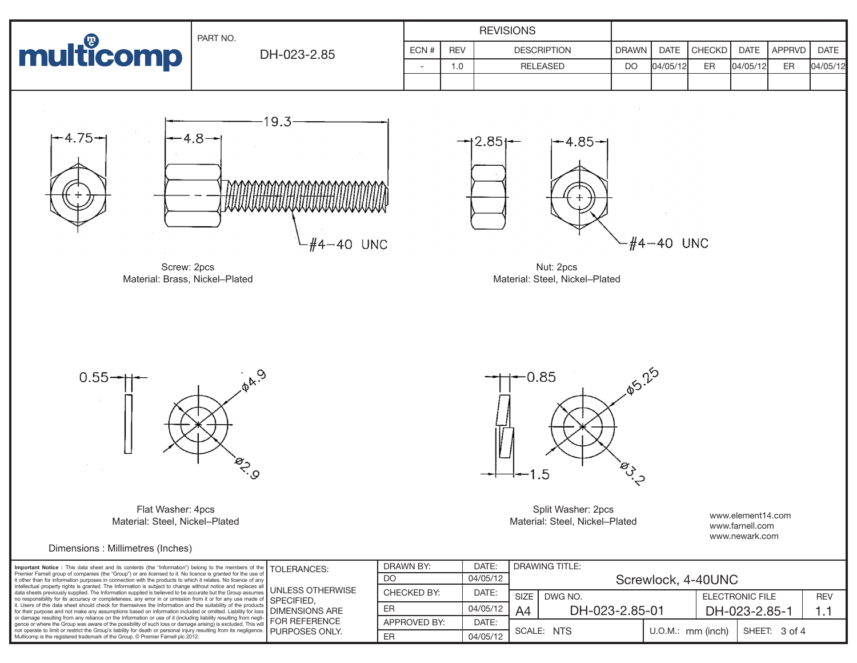



Flat Washer: 4pcs Material: Steel, Nickel–Plated

Dimensions : Millimetres (Inches)

Split Washer: 2pcs Material: Steel, Nickel–Plated

 $-0.85$ 

 $.5$ 

www.element14.com www.farnell.com www.newark.com

**05.25** 

**POLICE** 

| Important Notice : This data sheet and its contents (the "Information") belong to the members of the TOLERANCES:<br>Premier Farnell group of companies (the "Group") or are licensed to it. No licence is granted for the use o<br>it other than for information purposes in connection with the products to which it relates. No licence of any<br>intellectual property rights is granted. The Information is subject to change without notice and replaces all UNLESS OTHERWISE<br>no responsibility for its accuracy or completeness, any error in or omission from it or for any use made of SPECIFIED,<br>it. Users of this data sheet should check for themselves the Information and the suitability of the products<br>for their purpose and not make any assumptions based on information included or omitted. Liability for loss DIMENSIONS ARE<br>of their purpose and not make any assumption b server on accounting fiability resulting from negli-<br>The camage resulting from any reliance on the Information or use of it (including liability resulting from negli-<br>gence or where the Group was aware of the possibility of such loss or damage arising) is excluded. This will<br>not operate to limit or restrict the Group's liability for death or personal injury resulting from its negligence.   PURPOSES ONLY.<br>Multicomp is the registered trademark of the Group. © Premier Farnell plc 2012. |  | DRAWN BY:    | DATE:    | DRAWING TITLE:                   |                    |                        |  |               |            |  |  |
|----------------------------------------------------------------------------------------------------------------------------------------------------------------------------------------------------------------------------------------------------------------------------------------------------------------------------------------------------------------------------------------------------------------------------------------------------------------------------------------------------------------------------------------------------------------------------------------------------------------------------------------------------------------------------------------------------------------------------------------------------------------------------------------------------------------------------------------------------------------------------------------------------------------------------------------------------------------------------------------------------------------------------------------------------------------------------------------------------------------------------------------------------------------------------------------------------------------------------------------------------------------------------------------------------------------------------------------------------------------------------------------------------------------------------------|--|--------------|----------|----------------------------------|--------------------|------------------------|--|---------------|------------|--|--|
|                                                                                                                                                                                                                                                                                                                                                                                                                                                                                                                                                                                                                                                                                                                                                                                                                                                                                                                                                                                                                                                                                                                                                                                                                                                                                                                                                                                                                                  |  | DO           | 04/05/12 |                                  | Screwlock, 4-40UNC |                        |  |               |            |  |  |
|                                                                                                                                                                                                                                                                                                                                                                                                                                                                                                                                                                                                                                                                                                                                                                                                                                                                                                                                                                                                                                                                                                                                                                                                                                                                                                                                                                                                                                  |  | CHECKED BY:  | DATE:    | <b>SIZE</b>                      | DWG NO.            | <b>ELECTRONIC FILE</b> |  |               | <b>REV</b> |  |  |
|                                                                                                                                                                                                                                                                                                                                                                                                                                                                                                                                                                                                                                                                                                                                                                                                                                                                                                                                                                                                                                                                                                                                                                                                                                                                                                                                                                                                                                  |  | ER           | 04/05/12 | DH-023-2.85-01<br>A <sub>4</sub> |                    |                        |  | DH-023-2.85-1 |            |  |  |
|                                                                                                                                                                                                                                                                                                                                                                                                                                                                                                                                                                                                                                                                                                                                                                                                                                                                                                                                                                                                                                                                                                                                                                                                                                                                                                                                                                                                                                  |  | APPROVED BY: | DATE:    |                                  |                    |                        |  |               |            |  |  |
|                                                                                                                                                                                                                                                                                                                                                                                                                                                                                                                                                                                                                                                                                                                                                                                                                                                                                                                                                                                                                                                                                                                                                                                                                                                                                                                                                                                                                                  |  | ER           | 04/05/12 | SCALE: NTS                       |                    | $U.O.M.:$ mm (inch)    |  | SHEET: 3 of 4 |            |  |  |